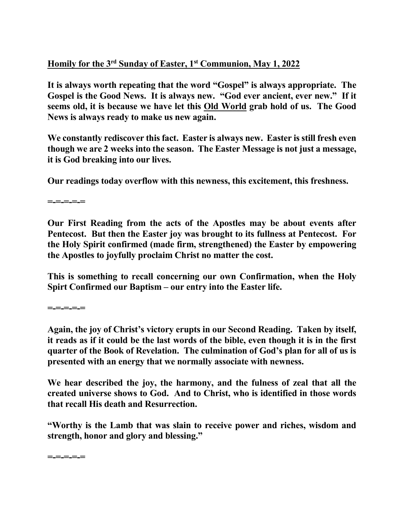## **Homily for the 3rd Sunday of Easter, 1st Communion, May 1, 2022**

**It is always worth repeating that the word "Gospel" is always appropriate. The Gospel is the Good News. It is always new. "God ever ancient, ever new." If it seems old, it is because we have let this Old World grab hold of us. The Good News is always ready to make us new again.** 

**We constantly rediscover this fact. Easter is always new. Easter is still fresh even though we are 2 weeks into the season. The Easter Message is not just a message, it is God breaking into our lives.** 

**Our readings today overflow with this newness, this excitement, this freshness.** 

**=-=-=-=-=** 

**Our First Reading from the acts of the Apostles may be about events after Pentecost. But then the Easter joy was brought to its fullness at Pentecost. For the Holy Spirit confirmed (made firm, strengthened) the Easter by empowering the Apostles to joyfully proclaim Christ no matter the cost.** 

**This is something to recall concerning our own Confirmation, when the Holy Spirt Confirmed our Baptism – our entry into the Easter life.** 

**=-=-=-=-=** 

**Again, the joy of Christ's victory erupts in our Second Reading. Taken by itself, it reads as if it could be the last words of the bible, even though it is in the first quarter of the Book of Revelation. The culmination of God's plan for all of us is presented with an energy that we normally associate with newness.** 

**We hear described the joy, the harmony, and the fulness of zeal that all the created universe shows to God. And to Christ, who is identified in those words that recall His death and Resurrection.** 

**"Worthy is the Lamb that was slain to receive power and riches, wisdom and strength, honor and glory and blessing."** 

**=-=-=-=-=**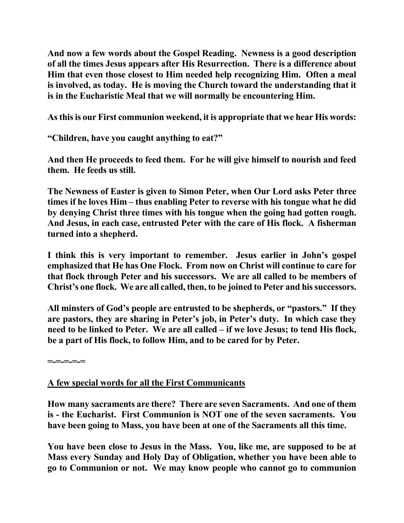**And now a few words about the Gospel Reading. Newness is a good description of all the times Jesus appears after His Resurrection. There is a difference about Him that even those closest to Him needed help recognizing Him. Often a meal is involved, as today. He is moving the Church toward the understanding that it is in the Eucharistic Meal that we will normally be encountering Him.** 

**As this is our First communion weekend, it is appropriate that we hear His words:** 

**"Children, have you caught anything to eat?"**

**And then He proceeds to feed them. For he will give himself to nourish and feed them. He feeds us still.** 

**The Newness of Easter is given to Simon Peter, when Our Lord asks Peter three times if he loves Him – thus enabling Peter to reverse with his tongue what he did by denying Christ three times with his tongue when the going had gotten rough. And Jesus, in each case, entrusted Peter with the care of His flock. A fisherman turned into a shepherd.** 

**I think this is very important to remember. Jesus earlier in John's gospel emphasized that He has One Flock. From now on Christ will continue to care for that flock through Peter and his successors. We are all called to be members of Christ's one flock. We are all called, then, to be joined to Peter and his successors.** 

**All minsters of God's people are entrusted to be shepherds, or "pastors." If they are pastors, they are sharing in Peter's job, in Peter's duty. In which case they need to be linked to Peter. We are all called – if we love Jesus; to tend His flock, be a part of His flock, to follow Him, and to be cared for by Peter.** 

**=-=-=-=-=** 

## **A few special words for all the First Communicants**

**How many sacraments are there? There are seven Sacraments. And one of them is - the Eucharist. First Communion is NOT one of the seven sacraments. You have been going to Mass, you have been at one of the Sacraments all this time.** 

**You have been close to Jesus in the Mass. You, like me, are supposed to be at Mass every Sunday and Holy Day of Obligation, whether you have been able to go to Communion or not. We may know people who cannot go to communion**